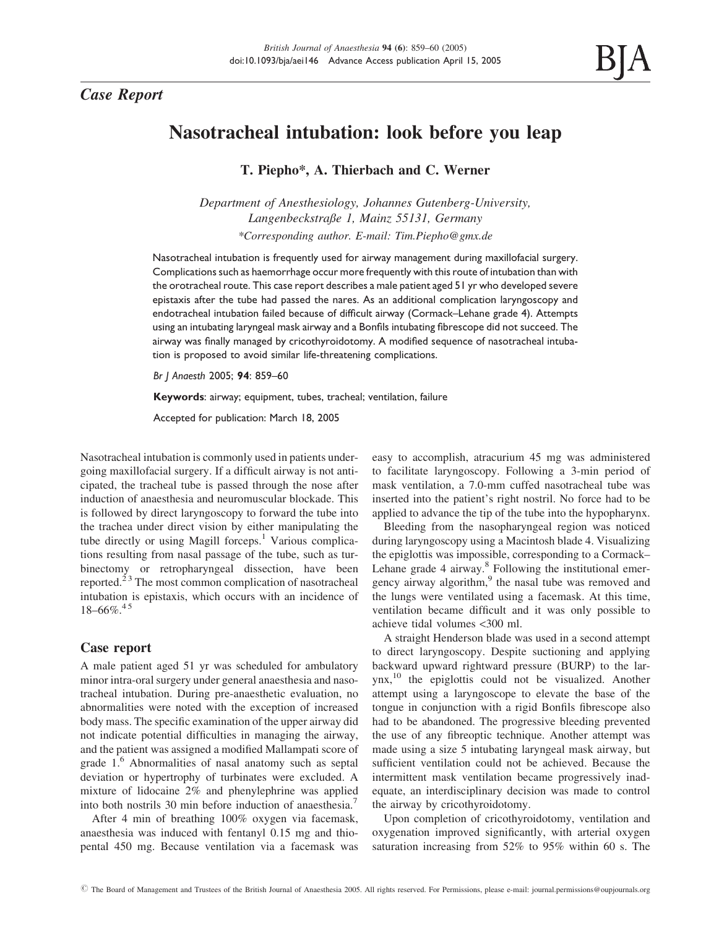# Case Report

# Nasotracheal intubation: look before you leap

T. Piepho\*, A. Thierbach and C. Werner

Department of Anesthesiology, Johannes Gutenberg-University, Langenbeckstraße 1, Mainz 55131, Germany \*Corresponding author. E-mail: Tim.Piepho@gmx.de

Nasotracheal intubation is frequently used for airway management during maxillofacial surgery. Complications such as haemorrhage occur more frequently with this route of intubation than with the orotracheal route. This case report describes a male patient aged 51 yr who developed severe epistaxis after the tube had passed the nares. As an additional complication laryngoscopy and endotracheal intubation failed because of difficult airway (Cormack–Lehane grade 4). Attempts using an intubating laryngeal mask airway and a Bonfils intubating fibrescope did not succeed. The airway was finally managed by cricothyroidotomy. A modified sequence of nasotracheal intubation is proposed to avoid similar life-threatening complications.

Br J Anaesth 2005; 94: 859–60

Keywords: airway; equipment, tubes, tracheal; ventilation, failure

Accepted for publication: March 18, 2005

Nasotracheal intubation is commonly used in patients undergoing maxillofacial surgery. If a difficult airway is not anticipated, the tracheal tube is passed through the nose after induction of anaesthesia and neuromuscular blockade. This is followed by direct laryngoscopy to forward the tube into the trachea under direct vision by either manipulating the tube directly or using Magill forceps.<sup>1</sup> Various complications resulting from nasal passage of the tube, such as turbinectomy or retropharyngeal dissection, have been reported.2 3 The most common complication of nasotracheal intubation is epistaxis, which occurs with an incidence of  $18-66\%$ <sup>45</sup>

## Case report

A male patient aged 51 yr was scheduled for ambulatory minor intra-oral surgery under general anaesthesia and nasotracheal intubation. During pre-anaesthetic evaluation, no abnormalities were noted with the exception of increased body mass. The specific examination of the upper airway did not indicate potential difficulties in managing the airway, and the patient was assigned a modified Mallampati score of grade 1.<sup>6</sup> Abnormalities of nasal anatomy such as septal deviation or hypertrophy of turbinates were excluded. A mixture of lidocaine 2% and phenylephrine was applied into both nostrils 30 min before induction of anaesthesia.<sup>7</sup>

After 4 min of breathing 100% oxygen via facemask, anaesthesia was induced with fentanyl 0.15 mg and thiopental 450 mg. Because ventilation via a facemask was easy to accomplish, atracurium 45 mg was administered to facilitate laryngoscopy. Following a 3-min period of mask ventilation, a 7.0-mm cuffed nasotracheal tube was inserted into the patient's right nostril. No force had to be applied to advance the tip of the tube into the hypopharynx.

Bleeding from the nasopharyngeal region was noticed during laryngoscopy using a Macintosh blade 4. Visualizing the epiglottis was impossible, corresponding to a Cormack– Lehane grade 4 airway.<sup>8</sup> Following the institutional emergency airway algorithm,<sup>9</sup> the nasal tube was removed and the lungs were ventilated using a facemask. At this time, ventilation became difficult and it was only possible to achieve tidal volumes <300 ml.

A straight Henderson blade was used in a second attempt to direct laryngoscopy. Despite suctioning and applying backward upward rightward pressure (BURP) to the larynx,<sup>10</sup> the epiglottis could not be visualized. Another attempt using a laryngoscope to elevate the base of the tongue in conjunction with a rigid Bonfils fibrescope also had to be abandoned. The progressive bleeding prevented the use of any fibreoptic technique. Another attempt was made using a size 5 intubating laryngeal mask airway, but sufficient ventilation could not be achieved. Because the intermittent mask ventilation became progressively inadequate, an interdisciplinary decision was made to control the airway by cricothyroidotomy.

Upon completion of cricothyroidotomy, ventilation and oxygenation improved significantly, with arterial oxygen saturation increasing from 52% to 95% within 60 s. The